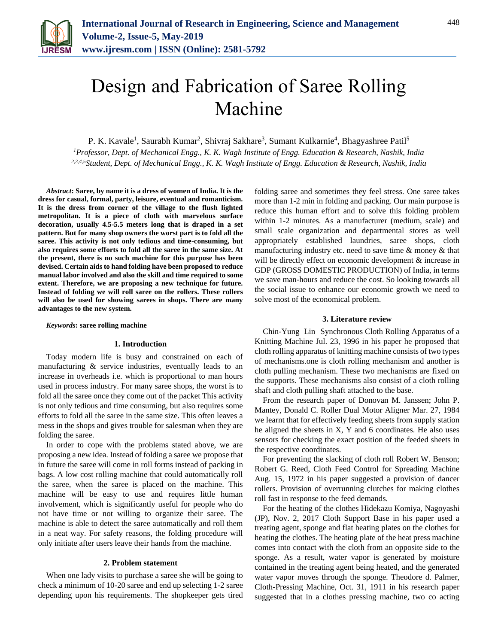

# Design and Fabrication of Saree Rolling Machine

P. K. Kavale<sup>1</sup>, Saurabh Kumar<sup>2</sup>, Shivraj Sakhare<sup>3</sup>, Sumant Kulkarnie<sup>4</sup>, Bhagyashree Patil<sup>5</sup>

*<sup>1</sup>Professor, Dept. of Mechanical Engg., K. K. Wagh Institute of Engg. Education & Research, Nashik, India 2,3,4,5Student, Dept. of Mechanical Engg., K. K. Wagh Institute of Engg. Education & Research, Nashik, India*

*Abstract***: Saree, by name it is a dress of women of India. It is the dress for casual, formal, party, leisure, eventual and romanticism. It is the dress from corner of the village to the flush lighted metropolitan. It is a piece of cloth with marvelous surface decoration, usually 4.5-5.5 meters long that is draped in a set pattern. But for many shop owners the worst part is to fold all the saree. This activity is not only tedious and time-consuming, but also requires some efforts to fold all the saree in the same size. At the present, there is no such machine for this purpose has been devised. Certain aids to hand folding have been proposed to reduce manual labor involved and also the skill and time required to some extent. Therefore, we are proposing a new technique for future. Instead of folding we will roll saree on the rollers. These rollers will also be used for showing sarees in shops. There are many advantages to the new system.**

*Keywords***: saree rolling machine**

# **1. Introduction**

Today modern life is busy and constrained on each of manufacturing & service industries, eventually leads to an increase in overheads i.e. which is proportional to man hours used in process industry. For many saree shops, the worst is to fold all the saree once they come out of the packet This activity is not only tedious and time consuming, but also requires some efforts to fold all the saree in the same size. This often leaves a mess in the shops and gives trouble for salesman when they are folding the saree.

In order to cope with the problems stated above, we are proposing a new idea. Instead of folding a saree we propose that in future the saree will come in roll forms instead of packing in bags. A low cost rolling machine that could automatically roll the saree, when the saree is placed on the machine. This machine will be easy to use and requires little human involvement, which is significantly useful for people who do not have time or not willing to organize their saree. The machine is able to detect the saree automatically and roll them in a neat way. For safety reasons, the folding procedure will only initiate after users leave their hands from the machine.

# **2. Problem statement**

When one lady visits to purchase a saree she will be going to check a minimum of 10-20 saree and end up selecting 1-2 saree depending upon his requirements. The shopkeeper gets tired folding saree and sometimes they feel stress. One saree takes more than 1-2 min in folding and packing. Our main purpose is reduce this human effort and to solve this folding problem within 1-2 minutes. As a manufacturer (medium, scale) and small scale organization and departmental stores as well appropriately established laundries, saree shops, cloth manufacturing industry etc. need to save time  $\&$  money  $\&$  that will be directly effect on economic development  $\&$  increase in GDP (GROSS DOMESTIC PRODUCTION) of India, in terms we save man-hours and reduce the cost. So looking towards all the social issue to enhance our economic growth we need to solve most of the economical problem.

#### **3. Literature review**

Chin-Yung Lin Synchronous Cloth Rolling Apparatus of a Knitting Machine Jul. 23, 1996 in his paper he proposed that cloth rolling apparatus of knitting machine consists of two types of mechanisms.one is cloth rolling mechanism and another is cloth pulling mechanism. These two mechanisms are fixed on the supports. These mechanisms also consist of a cloth rolling shaft and cloth pulling shaft attached to the base.

From the research paper of Donovan M. Janssen; John P. Mantey, Donald C. Roller Dual Motor Aligner Mar. 27, 1984 we learnt that for effectively feeding sheets from supply station he aligned the sheets in X, Y and 6 coordinates. He also uses sensors for checking the exact position of the feeded sheets in the respective coordinates.

For preventing the slacking of cloth roll Robert W. Benson; Robert G. Reed, Cloth Feed Control for Spreading Machine Aug. 15, 1972 in his paper suggested a provision of dancer rollers. Provision of overrunning clutches for making clothes roll fast in response to the feed demands.

For the heating of the clothes Hidekazu Komiya, Nagoyashi (JP), Nov. 2, 2017 Cloth Support Base in his paper used a treating agent, sponge and flat heating plates on the clothes for heating the clothes. The heating plate of the heat press machine comes into contact with the cloth from an opposite side to the sponge. As a result, water vapor is generated by moisture contained in the treating agent being heated, and the generated water vapor moves through the sponge. Theodore d. Palmer, Cloth-Pressing Machine, Oct. 31, 1911 in his research paper suggested that in a clothes pressing machine, two co acting